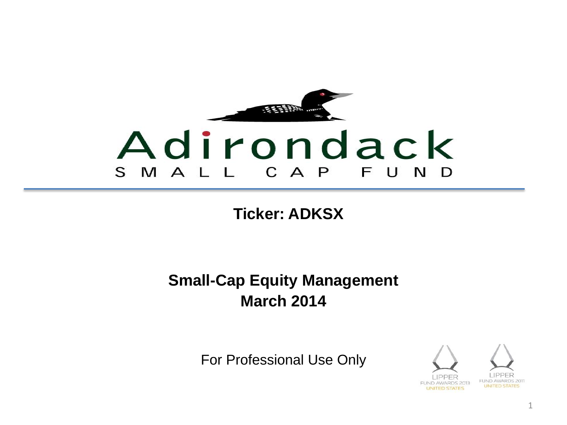

**Ticker: ADKSX**

### **Small-Cap Equity Management March 2014**

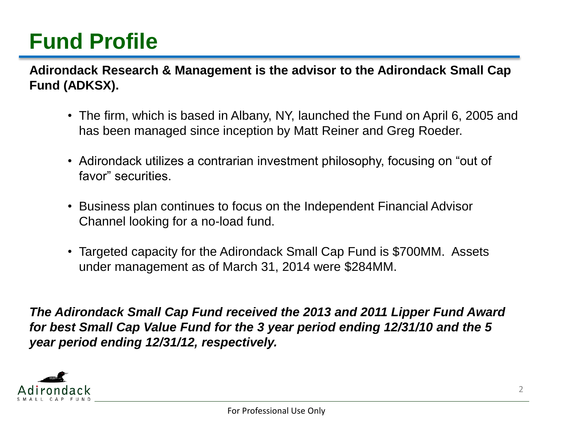## **Fund Profile**

**Adirondack Research & Management is the advisor to the Adirondack Small Cap Fund (ADKSX).**

- The firm, which is based in Albany, NY, launched the Fund on April 6, 2005 and has been managed since inception by Matt Reiner and Greg Roeder.
- Adirondack utilizes a contrarian investment philosophy, focusing on "out of favor" securities.
- Business plan continues to focus on the Independent Financial Advisor Channel looking for a no-load fund.
- Targeted capacity for the Adirondack Small Cap Fund is \$700MM. Assets under management as of March 31, 2014 were \$284MM.

*The Adirondack Small Cap Fund received the 2013 and 2011 Lipper Fund Award for best Small Cap Value Fund for the 3 year period ending 12/31/10 and the 5 year period ending 12/31/12, respectively.*

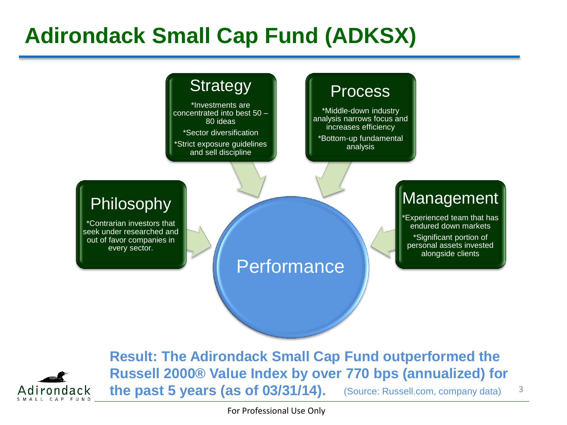## **Adirondack Small Cap Fund (ADKSX)**

### **Strategy**

\*Investments are concentrated into best 50 – 80 ideas

\*Sector diversification

\*Strict exposure guidelines and sell discipline

#### **Process**

\*Middle-down industry analysis narrows focus and increases efficiency \*Bottom-up fundamental analysis

### Philosophy

\*Contrarian investors that seek under researched and out of favor companies in every sector.

### **Performance**

### **Management**

**Experienced team that has** endured down markets

\*Significant portion of personal assets invested alongside clients



**Result: The Adirondack Small Cap Fund outperformed the Russell 2000® Value Index by over 770 bps (annualized) for the past 5 years (as of 03/31/14).** (Source: Russell.com, company data) 3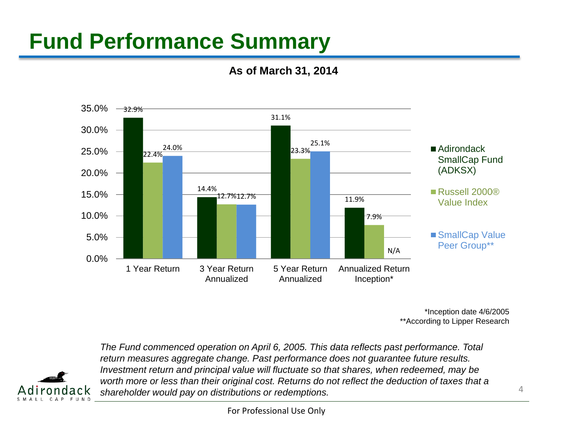## **Fund Performance Summary**

**As of March 31, 2014**



\*Inception date 4/6/2005 \*\*According to Lipper Research



*The Fund commenced operation on April 6, 2005. This data reflects past performance. Total return measures aggregate change. Past performance does not guarantee future results. Investment return and principal value will fluctuate so that shares, when redeemed, may be worth more or less than their original cost. Returns do not reflect the deduction of taxes that a shareholder would pay on distributions or redemptions.*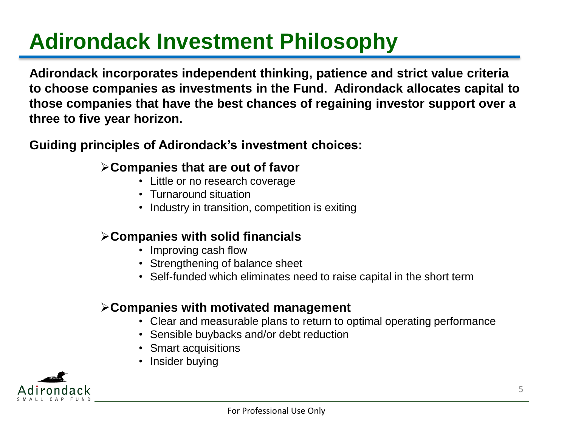# **Adirondack Investment Philosophy**

**Adirondack incorporates independent thinking, patience and strict value criteria to choose companies as investments in the Fund. Adirondack allocates capital to those companies that have the best chances of regaining investor support over a three to five year horizon.** 

**Guiding principles of Adirondack's investment choices:**

#### **Companies that are out of favor**

- Little or no research coverage
- Turnaround situation
- Industry in transition, competition is exiting

#### **Companies with solid financials**

- Improving cash flow
- Strengthening of balance sheet
- Self-funded which eliminates need to raise capital in the short term

#### **Companies with motivated management**

- Clear and measurable plans to return to optimal operating performance
- Sensible buybacks and/or debt reduction
- Smart acquisitions
- Insider buying

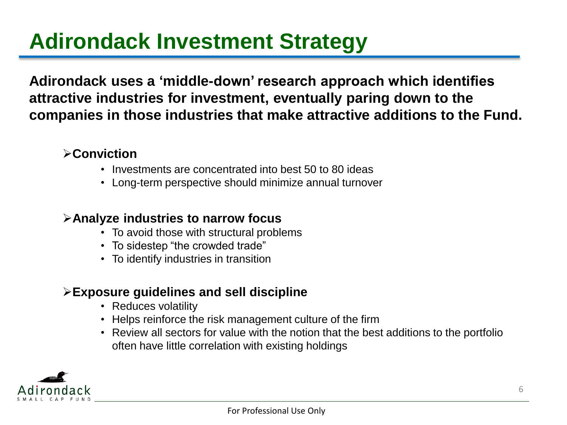## **Adirondack Investment Strategy**

**Adirondack uses a 'middle-down' research approach which identifies attractive industries for investment, eventually paring down to the companies in those industries that make attractive additions to the Fund.**

#### **Conviction**

- Investments are concentrated into best 50 to 80 ideas
- Long-term perspective should minimize annual turnover

#### **Analyze industries to narrow focus**

- To avoid those with structural problems
- To sidestep "the crowded trade"
- To identify industries in transition

#### **Exposure guidelines and sell discipline**

- Reduces volatility
- Helps reinforce the risk management culture of the firm
- Review all sectors for value with the notion that the best additions to the portfolio often have little correlation with existing holdings

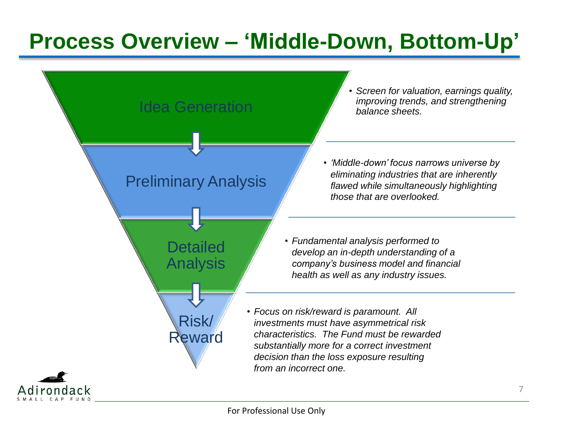## **Process Overview – 'Middle-Down, Bottom-Up'**

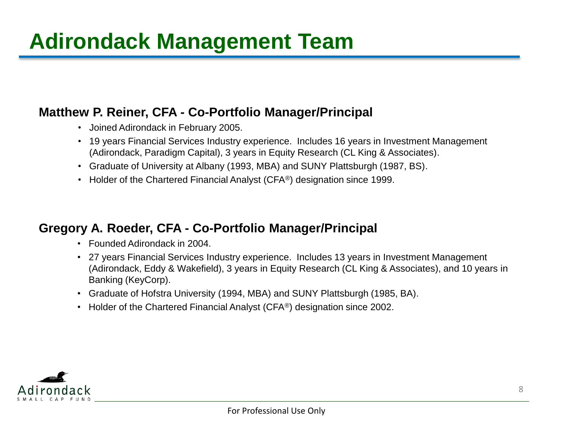## **Adirondack Management Team**

#### **Matthew P. Reiner, CFA - Co-Portfolio Manager/Principal**

- Joined Adirondack in February 2005.
- 19 years Financial Services Industry experience. Includes 16 years in Investment Management (Adirondack, Paradigm Capital), 3 years in Equity Research (CL King & Associates).
- Graduate of University at Albany (1993, MBA) and SUNY Plattsburgh (1987, BS).
- Holder of the Chartered Financial Analyst (CFA®) designation since 1999.

#### **Gregory A. Roeder, CFA - Co-Portfolio Manager/Principal**

- Founded Adirondack in 2004.
- 27 years Financial Services Industry experience. Includes 13 years in Investment Management (Adirondack, Eddy & Wakefield), 3 years in Equity Research (CL King & Associates), and 10 years in Banking (KeyCorp).
- Graduate of Hofstra University (1994, MBA) and SUNY Plattsburgh (1985, BA).
- Holder of the Chartered Financial Analyst (CFA<sup>®</sup>) designation since 2002.

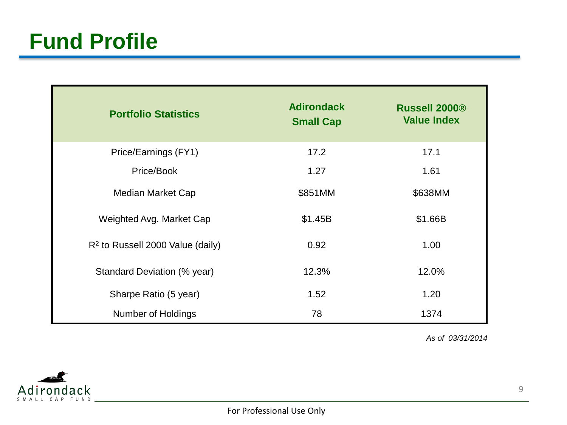| <b>Portfolio Statistics</b>        | <b>Adirondack</b><br><b>Small Cap</b> | <b>Russell 2000®</b><br><b>Value Index</b> |
|------------------------------------|---------------------------------------|--------------------------------------------|
| Price/Earnings (FY1)               | 17.2                                  | 17.1                                       |
| Price/Book                         | 1.27                                  | 1.61                                       |
| Median Market Cap                  | \$851MM                               | \$638MM                                    |
| Weighted Avg. Market Cap           | \$1.45B                               | \$1.66B                                    |
| $R2$ to Russell 2000 Value (daily) | 0.92                                  | 1.00                                       |
| Standard Deviation (% year)        | 12.3%                                 | 12.0%                                      |
| Sharpe Ratio (5 year)              | 1.52                                  | 1.20                                       |
| <b>Number of Holdings</b>          | 78                                    | 1374                                       |

*As of 03/31/2014*

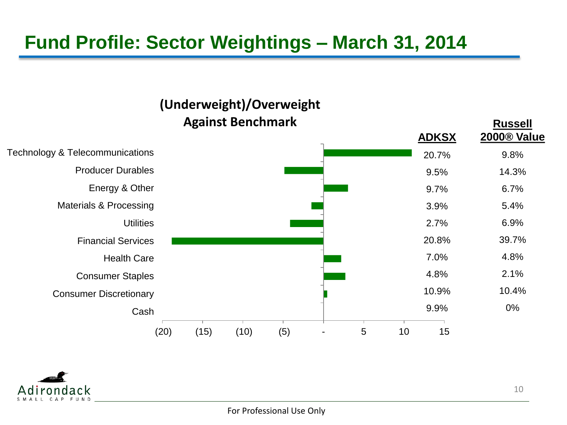### **Fund Profile: Sector Weightings – March 31, 2014**

#### (20) (15) (10) (5) - 5 10 15 Cash Consumer Discretionary Consumer Staples Health Care Financial Services **Utilities** Materials & Processing Energy & Other Producer Durables Technology & Telecommunications **(Underweight)/Overweight Against Benchmark Russell 2000® Value** 9.8% 14.3% 6.7% 5.4% 6.9% 39.7% 4.8% 2.1% 10.4% 0% **ADKSX** 20.7% 9.5% 9.7% 3.9% 2.7% 20.8% 7.0% 4.8% 10.9% 9.9%

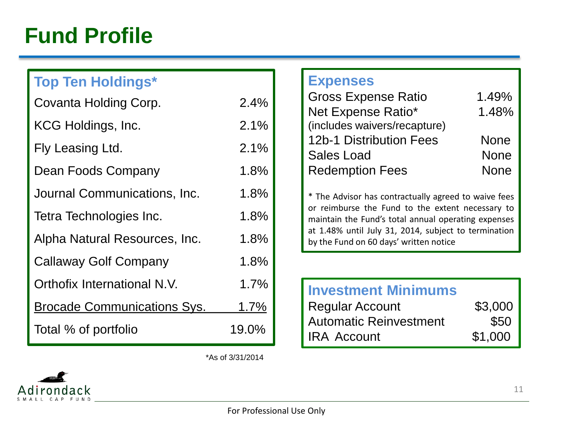### **Fund Profile**

### **Top Ten Holdings\***

| Covanta Holding Corp.              | 2.4%  |
|------------------------------------|-------|
| KCG Holdings, Inc.                 | 2.1%  |
| Fly Leasing Ltd.                   | 2.1%  |
| Dean Foods Company                 | 1.8%  |
| Journal Communications, Inc.       | 1.8%  |
| Tetra Technologies Inc.            | 1.8%  |
| Alpha Natural Resources, Inc.      | 1.8%  |
| Callaway Golf Company              | 1.8%  |
| Orthofix International N.V.        | 1.7%  |
| <b>Brocade Communications Sys.</b> | 1.7%  |
| Total % of portfolio               | 19.0% |

#### **Expenses**

| <b>Gross Expense Ratio</b>   | 1.49%       |
|------------------------------|-------------|
| Net Expense Ratio*           | 1.48%       |
| (includes waivers/recapture) |             |
| 12b-1 Distribution Fees      | <b>None</b> |
| <b>Sales Load</b>            | <b>None</b> |
| <b>Redemption Fees</b>       | <b>None</b> |

\* The Advisor has contractually agreed to waive fees or reimburse the Fund to the extent necessary to maintain the Fund's total annual operating expenses at 1.48% until July 31, 2014, subject to termination by the Fund on 60 days' written notice

### **Investment Minimums**

| <b>Regular Account</b>        | \$3,000 |
|-------------------------------|---------|
| <b>Automatic Reinvestment</b> | \$50    |
| <b>IRA Account</b>            | \$1,000 |

\*As of 3/31/2014

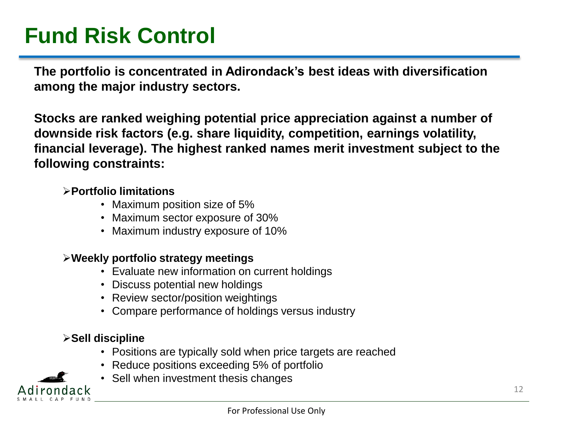## **Fund Risk Control**

**The portfolio is concentrated in Adirondack's best ideas with diversification among the major industry sectors.** 

**Stocks are ranked weighing potential price appreciation against a number of downside risk factors (e.g. share liquidity, competition, earnings volatility, financial leverage). The highest ranked names merit investment subject to the following constraints:**

#### **Portfolio limitations**

- Maximum position size of 5%
- Maximum sector exposure of 30%
- Maximum industry exposure of 10%

#### **Weekly portfolio strategy meetings**

- Evaluate new information on current holdings
- Discuss potential new holdings
- Review sector/position weightings
- Compare performance of holdings versus industry

#### **Sell discipline**

- Positions are typically sold when price targets are reached
- Reduce positions exceeding 5% of portfolio
- Sell when investment thesis changes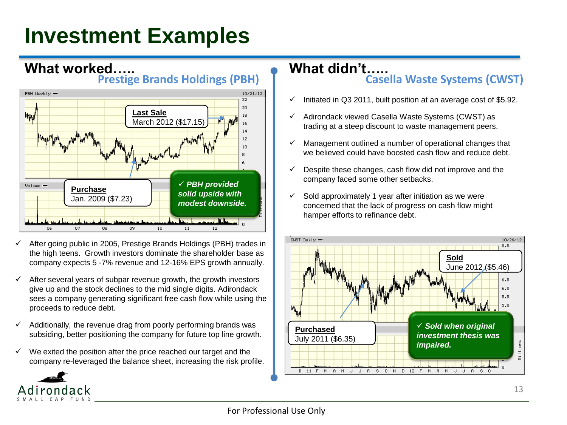## **Investment Examples**



- After going public in 2005, Prestige Brands Holdings (PBH) trades in the high teens. Growth investors dominate the shareholder base as company expects 5 -7% revenue and 12-16% EPS growth annually.
- After several years of subpar revenue growth, the growth investors give up and the stock declines to the mid single digits. Adirondack sees a company generating significant free cash flow while using the proceeds to reduce debt.
- $\checkmark$  Additionally, the revenue drag from poorly performing brands was subsiding, better positioning the company for future top line growth.
- $\checkmark$  We exited the position after the price reached our target and the company re-leveraged the balance sheet, increasing the risk profile.

#### **What didn't….. Casella Waste Systems (CWST)**

- $\checkmark$  Initiated in Q3 2011, built position at an average cost of \$5.92.
- $\checkmark$  Adirondack viewed Casella Waste Systems (CWST) as trading at a steep discount to waste management peers.
- $\checkmark$  Management outlined a number of operational changes that we believed could have boosted cash flow and reduce debt.
- $\checkmark$  Despite these changes, cash flow did not improve and the company faced some other setbacks.
- $\checkmark$  Sold approximately 1 year after initiation as we were concerned that the lack of progress on cash flow might hamper efforts to refinance debt.

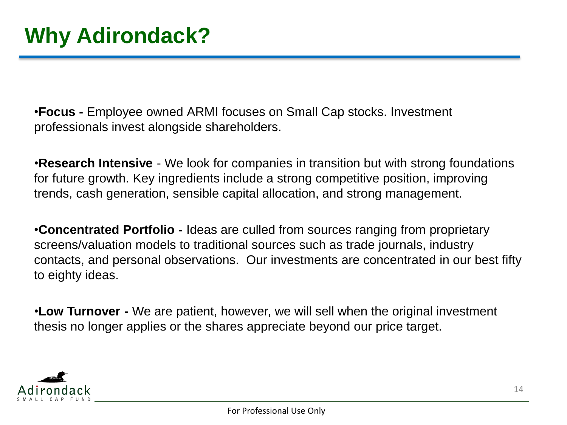•**Focus -** Employee owned ARMI focuses on Small Cap stocks. Investment professionals invest alongside shareholders.

•**Research Intensive** - We look for companies in transition but with strong foundations for future growth. Key ingredients include a strong competitive position, improving trends, cash generation, sensible capital allocation, and strong management.

•**Concentrated Portfolio -** Ideas are culled from sources ranging from proprietary screens/valuation models to traditional sources such as trade journals, industry contacts, and personal observations. Our investments are concentrated in our best fifty to eighty ideas.

•**Low Turnover -** We are patient, however, we will sell when the original investment thesis no longer applies or the shares appreciate beyond our price target.